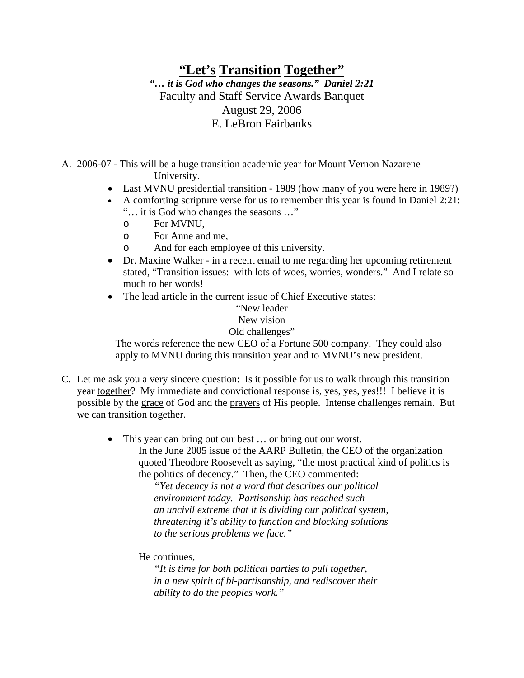## **"Let's Transition Together"** *"… it is God who changes the seasons." Daniel 2:21*  Faculty and Staff Service Awards Banquet August 29, 2006 E. LeBron Fairbanks

A. 2006-07 - This will be a huge transition academic year for Mount Vernon Nazarene University.

- Last MVNU presidential transition 1989 (how many of you were here in 1989?)
- A comforting scripture verse for us to remember this year is found in Daniel 2:21: "… it is God who changes the seasons …"
	- o For MVNU,
	- o For Anne and me,
	- o And for each employee of this university.
- Dr. Maxine Walker in a recent email to me regarding her upcoming retirement stated, "Transition issues: with lots of woes, worries, wonders." And I relate so much to her words!
- The lead article in the current issue of Chief Executive states:

## "New leader New vision

## Old challenges"

The words reference the new CEO of a Fortune 500 company. They could also apply to MVNU during this transition year and to MVNU's new president.

- C. Let me ask you a very sincere question: Is it possible for us to walk through this transition year together? My immediate and convictional response is, yes, yes, yes!!! I believe it is possible by the grace of God and the prayers of His people. Intense challenges remain. But we can transition together.
	- This year can bring out our best ... or bring out our worst. In the June 2005 issue of the AARP Bulletin, the CEO of the organization quoted Theodore Roosevelt as saying, "the most practical kind of politics is the politics of decency." Then, the CEO commented:

*"Yet decency is not a word that describes our political environment today. Partisanship has reached such an uncivil extreme that it is dividing our political system, threatening it's ability to function and blocking solutions to the serious problems we face."* 

He continues,

*"It is time for both political parties to pull together, in a new spirit of bi-partisanship, and rediscover their ability to do the peoples work."*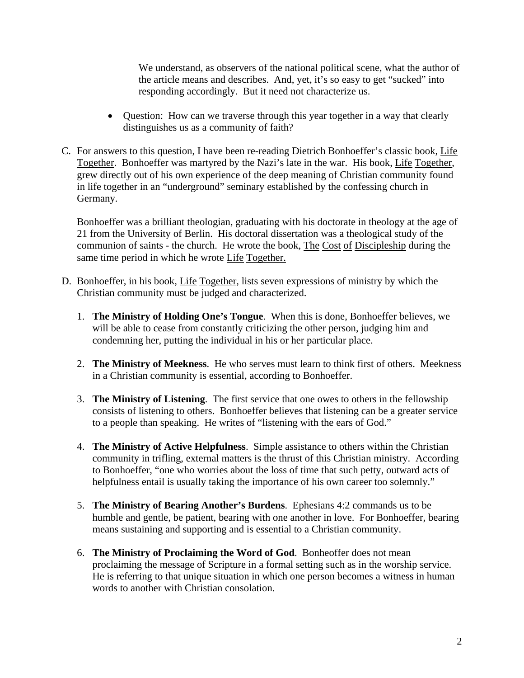We understand, as observers of the national political scene, what the author of the article means and describes. And, yet, it's so easy to get "sucked" into responding accordingly. But it need not characterize us.

- Question: How can we traverse through this year together in a way that clearly distinguishes us as a community of faith?
- C. For answers to this question, I have been re-reading Dietrich Bonhoeffer's classic book, Life Together. Bonhoeffer was martyred by the Nazi's late in the war. His book, Life Together, grew directly out of his own experience of the deep meaning of Christian community found in life together in an "underground" seminary established by the confessing church in Germany.

Bonhoeffer was a brilliant theologian, graduating with his doctorate in theology at the age of 21 from the University of Berlin. His doctoral dissertation was a theological study of the communion of saints - the church. He wrote the book, The Cost of Discipleship during the same time period in which he wrote Life Together.

- D. Bonhoeffer, in his book, Life Together, lists seven expressions of ministry by which the Christian community must be judged and characterized.
	- 1. **The Ministry of Holding One's Tongue**. When this is done, Bonhoeffer believes, we will be able to cease from constantly criticizing the other person, judging him and condemning her, putting the individual in his or her particular place.
	- 2. **The Ministry of Meekness**. He who serves must learn to think first of others. Meekness in a Christian community is essential, according to Bonhoeffer.
	- 3. **The Ministry of Listening**. The first service that one owes to others in the fellowship consists of listening to others. Bonhoeffer believes that listening can be a greater service to a people than speaking. He writes of "listening with the ears of God."
	- 4. **The Ministry of Active Helpfulness**. Simple assistance to others within the Christian community in trifling, external matters is the thrust of this Christian ministry. According to Bonhoeffer, "one who worries about the loss of time that such petty, outward acts of helpfulness entail is usually taking the importance of his own career too solemnly."
	- 5. **The Ministry of Bearing Another's Burdens**. Ephesians 4:2 commands us to be humble and gentle, be patient, bearing with one another in love. For Bonhoeffer, bearing means sustaining and supporting and is essential to a Christian community.
	- 6. **The Ministry of Proclaiming the Word of God**. Bonheoffer does not mean proclaiming the message of Scripture in a formal setting such as in the worship service. He is referring to that unique situation in which one person becomes a witness in human words to another with Christian consolation.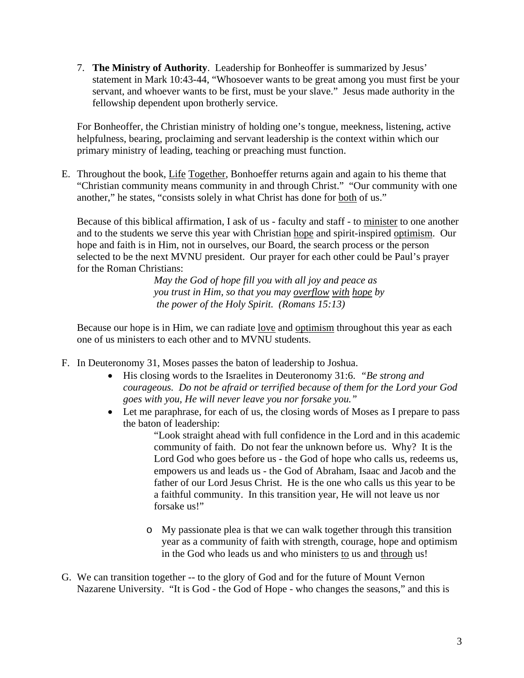7. **The Ministry of Authority**. Leadership for Bonheoffer is summarized by Jesus' statement in Mark 10:43-44, "Whosoever wants to be great among you must first be your servant, and whoever wants to be first, must be your slave." Jesus made authority in the fellowship dependent upon brotherly service.

For Bonheoffer, the Christian ministry of holding one's tongue, meekness, listening, active helpfulness, bearing, proclaiming and servant leadership is the context within which our primary ministry of leading, teaching or preaching must function.

E. Throughout the book, Life Together, Bonhoeffer returns again and again to his theme that "Christian community means community in and through Christ." "Our community with one another," he states, "consists solely in what Christ has done for both of us."

Because of this biblical affirmation, I ask of us - faculty and staff - to minister to one another and to the students we serve this year with Christian hope and spirit-inspired optimism. Our hope and faith is in Him, not in ourselves, our Board, the search process or the person selected to be the next MVNU president. Our prayer for each other could be Paul's prayer for the Roman Christians:

*May the God of hope fill you with all joy and peace as you trust in Him, so that you may overflow with hope by the power of the Holy Spirit. (Romans 15:13)*

Because our hope is in Him, we can radiate <u>love</u> and optimism throughout this year as each one of us ministers to each other and to MVNU students.

- F. In Deuteronomy 31, Moses passes the baton of leadership to Joshua.
	- His closing words to the Israelites in Deuteronomy 31:6. *"Be strong and courageous. Do not be afraid or terrified because of them for the Lord your God goes with you, He will never leave you nor forsake you."*
	- Let me paraphrase, for each of us, the closing words of Moses as I prepare to pass the baton of leadership:

"Look straight ahead with full confidence in the Lord and in this academic community of faith. Do not fear the unknown before us. Why? It is the Lord God who goes before us - the God of hope who calls us, redeems us, empowers us and leads us - the God of Abraham, Isaac and Jacob and the father of our Lord Jesus Christ. He is the one who calls us this year to be a faithful community. In this transition year, He will not leave us nor forsake us!"

- o My passionate plea is that we can walk together through this transition year as a community of faith with strength, courage, hope and optimism in the God who leads us and who ministers to us and through us!
- G. We can transition together -- to the glory of God and for the future of Mount Vernon Nazarene University. "It is God - the God of Hope - who changes the seasons," and this is